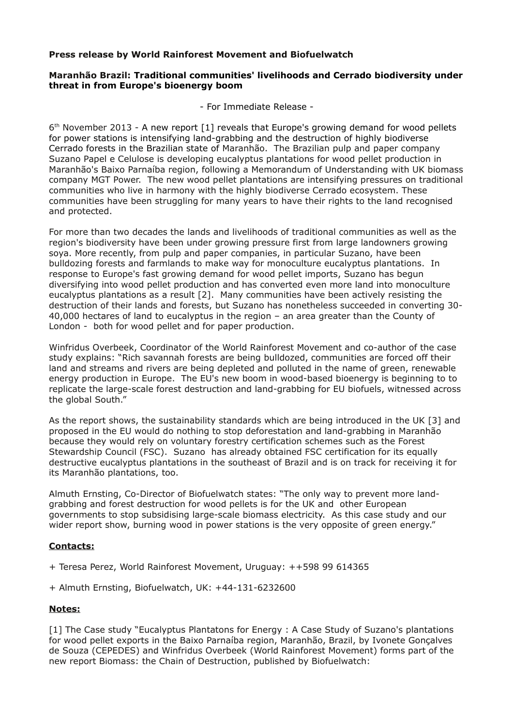## **Press release by World Rainforest Movement and Biofuelwatch**

## **Maranhão Brazil: Traditional communities' livelihoods and Cerrado biodiversity under threat in from Europe's bioenergy boom**

- For Immediate Release -

6<sup>th</sup> November 2013 - A new report [1] reveals that Europe's growing demand for wood pellets for power stations is intensifying land-grabbing and the destruction of highly biodiverse Cerrado forests in the Brazilian state of Maranhão. The Brazilian pulp and paper company Suzano Papel e Celulose is developing eucalyptus plantations for wood pellet production in Maranhão's Baixo Parnaíba region, following a Memorandum of Understanding with UK biomass company MGT Power. The new wood pellet plantations are intensifying pressures on traditional communities who live in harmony with the highly biodiverse Cerrado ecosystem. These communities have been struggling for many years to have their rights to the land recognised and protected.

For more than two decades the lands and livelihoods of traditional communities as well as the region's biodiversity have been under growing pressure first from large landowners growing soya. More recently, from pulp and paper companies, in particular Suzano, have been bulldozing forests and farmlands to make way for monoculture eucalyptus plantations. In response to Europe's fast growing demand for wood pellet imports, Suzano has begun diversifying into wood pellet production and has converted even more land into monoculture eucalyptus plantations as a result [2]. Many communities have been actively resisting the destruction of their lands and forests, but Suzano has nonetheless succeeded in converting 30- 40,000 hectares of land to eucalyptus in the region – an area greater than the County of London - both for wood pellet and for paper production.

Winfridus Overbeek, Coordinator of the World Rainforest Movement and co-author of the case study explains: "Rich savannah forests are being bulldozed, communities are forced off their land and streams and rivers are being depleted and polluted in the name of green, renewable energy production in Europe. The EU's new boom in wood-based bioenergy is beginning to to replicate the large-scale forest destruction and land-grabbing for EU biofuels, witnessed across the global South."

As the report shows, the sustainability standards which are being introduced in the UK [3] and proposed in the EU would do nothing to stop deforestation and land-grabbing in Maranhão because they would rely on voluntary forestry certification schemes such as the Forest Stewardship Council (FSC). Suzano has already obtained FSC certification for its equally destructive eucalyptus plantations in the southeast of Brazil and is on track for receiving it for its Maranhão plantations, too.

Almuth Ernsting, Co-Director of Biofuelwatch states: "The only way to prevent more landgrabbing and forest destruction for wood pellets is for the UK and other European governments to stop subsidising large-scale biomass electricity. As this case study and our wider report show, burning wood in power stations is the very opposite of green energy."

## **Contacts:**

- + Teresa Perez, World Rainforest Movement, Uruguay: ++598 99 614365
- + Almuth Ernsting, Biofuelwatch, UK: +44-131-6232600

## **Notes:**

[1] The Case study "Eucalyptus Plantatons for Energy : A Case Study of Suzano's plantations for wood pellet exports in the Baixo Parnaíba region, Maranhão, Brazil, by Ivonete Gonçalves de Souza (CEPEDES) and Winfridus Overbeek (World Rainforest Movement) forms part of the new report Biomass: the Chain of Destruction, published by Biofuelwatch: